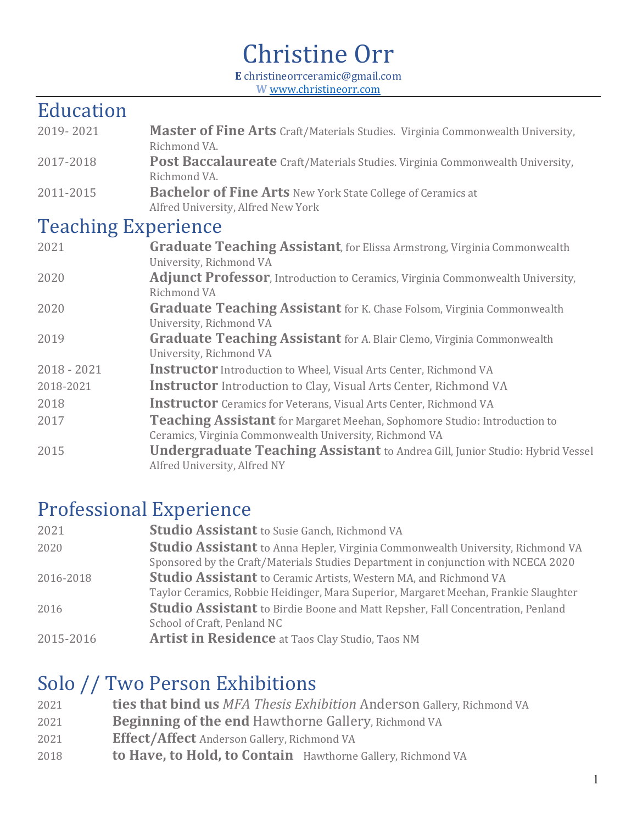# Christine Orr

**E** christineorrceramic@gmail.com **W** www.christineorr.com

#### Education

- 2019- 2021 Master of Fine Arts Craft/Materials Studies. Virginia Commonwealth University, Richmond VA. 2017-2018 **Post Baccalaureate** Craft/Materials Studies. Virginia Commonwealth University, Richmond VA.
- 2011-2015 **Bachelor of Fine Arts** New York State College of Ceramics at Alfred University, Alfred New York

#### Teaching Experience

| 2021          | <b>Graduate Teaching Assistant, for Elissa Armstrong, Virginia Commonwealth</b>        |
|---------------|----------------------------------------------------------------------------------------|
|               | University, Richmond VA                                                                |
| 2020          | <b>Adjunct Professor</b> , Introduction to Ceramics, Virginia Commonwealth University, |
|               | Richmond VA                                                                            |
| 2020          | <b>Graduate Teaching Assistant</b> for K. Chase Folsom, Virginia Commonwealth          |
|               | University, Richmond VA                                                                |
| 2019          | <b>Graduate Teaching Assistant</b> for A. Blair Clemo, Virginia Commonwealth           |
|               | University, Richmond VA                                                                |
| $2018 - 2021$ | <b>Instructor</b> Introduction to Wheel, Visual Arts Center, Richmond VA               |
| 2018-2021     | <b>Instructor</b> Introduction to Clay, Visual Arts Center, Richmond VA                |
| 2018          | <b>Instructor</b> Ceramics for Veterans, Visual Arts Center, Richmond VA               |
| 2017          | Teaching Assistant for Margaret Meehan, Sophomore Studio: Introduction to              |
|               | Ceramics, Virginia Commonwealth University, Richmond VA                                |
| 2015          | <b>Undergraduate Teaching Assistant</b> to Andrea Gill, Junior Studio: Hybrid Vessel   |
|               | Alfred University, Alfred NY                                                           |

#### **Professional Experience**

| 2021      | <b>Studio Assistant</b> to Susie Ganch, Richmond VA                                   |
|-----------|---------------------------------------------------------------------------------------|
| 2020      | <b>Studio Assistant</b> to Anna Hepler, Virginia Commonwealth University, Richmond VA |
|           | Sponsored by the Craft/Materials Studies Department in conjunction with NCECA 2020    |
| 2016-2018 | <b>Studio Assistant</b> to Ceramic Artists, Western MA, and Richmond VA               |
|           | Taylor Ceramics, Robbie Heidinger, Mara Superior, Margaret Meehan, Frankie Slaughter  |
| 2016      | <b>Studio Assistant</b> to Birdie Boone and Matt Repsher, Fall Concentration, Penland |
|           | School of Craft, Penland NC                                                           |
| 2015-2016 | <b>Artist in Residence</b> at Taos Clay Studio, Taos NM                               |

#### Solo // Two Person Exhibitions

**ties that bind us** *MFA Thesis Exhibition* Anderson Gallery, Richmond VA **Beginning of the end** Hawthorne Gallery, Richmond VA **Effect/Affect** Anderson Gallery, Richmond VA **to Have, to Hold, to Contain** Hawthorne Gallery, Richmond VA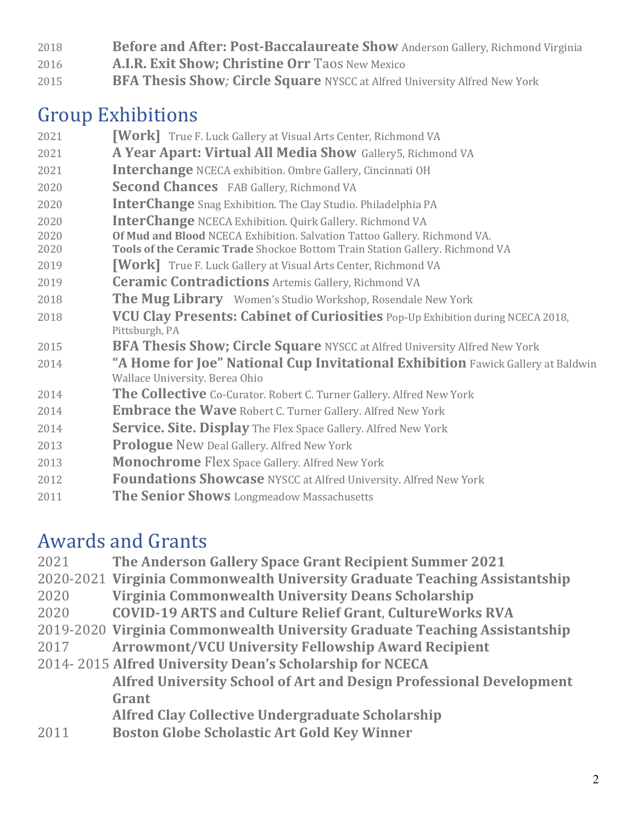- **Before and After: Post-Baccalaureate Show** Anderson Gallery, Richmond Virginia
- **A.I.R. Exit Show; Christine Orr** Taos New Mexico
- **BFA Thesis Show**; **Circle Square** NYSCC at Alfred University Alfred New York

### Group Exhibitions

- **Work** True F. Luck Gallery at Visual Arts Center, Richmond VA
- **A Year Apart: Virtual All Media Show**Gallery5, Richmond VA
- **Interchange** NCECA exhibition. Ombre Gallery, Cincinnati OH
- **Second Chances FAB Gallery, Richmond VA**
- **InterChange** Snag Exhibition. The Clay Studio. Philadelphia PA
- **InterChange** NCECA Exhibition. Quirk Gallery. Richmond VA
- **Of Mud and Blood** NCECA Exhibition. Salvation Tattoo Gallery. Richmond VA.
- **Tools of the Ceramic Trade** Shockoe Bottom Train Station Gallery. Richmond VA
- **Work** True F. Luck Gallery at Visual Arts Center, Richmond VA
- *Ceramic Contradictions Artemis Gallery, Richmond VA*
- **The Mug Library** Women's Studio Workshop, Rosendale New York
- **VCU Clay Presents: Cabinet of Curiosities** Pop-Up Exhibition during NCECA 2018, Pittsburgh, PA
- **BFA Thesis Show; Circle Square** NYSCC at Alfred University Alfred New York
- "A Home for Joe" National Cup Invitational Exhibition Fawick Gallery at Baldwin Wallace University. Berea Ohio
- **The Collective** Co-Curator. Robert C. Turner Gallery. Alfred New York
- **Embrace the Wave** Robert C. Turner Gallery. Alfred New York
- **Service. Site. Display** The Flex Space Gallery. Alfred New York
- **Prologue** New Deal Gallery. Alfred New York
- **Monochrome** Flex Space Gallery. Alfred New York
- **Foundations Showcase** NYSCC at Alfred University. Alfred New York
- **The Senior Shows** Longmeadow Massachusetts

## Awards and Grants

- **The Anderson Gallery Space Grant Recipient Summer 2021**
- 2020-2021 **Virginia Commonwealth University Graduate Teaching Assistantship**
- **Virginia Commonwealth University Deans Scholarship**
- **COVID-19 ARTS and Culture Relief Grant**, **CultureWorks RVA**
- 2019-2020 **Virginia Commonwealth University Graduate Teaching Assistantship**
- **Arrowmont/VCU University Fellowship Award Recipient**
- 2014- 2015 **Alfred University Dean's Scholarship for NCECA Alfred University School of Art and Design Professional Development Grant**
	- **Alfred Clay Collective Undergraduate Scholarship**
- **Boston Globe Scholastic Art Gold Key Winner**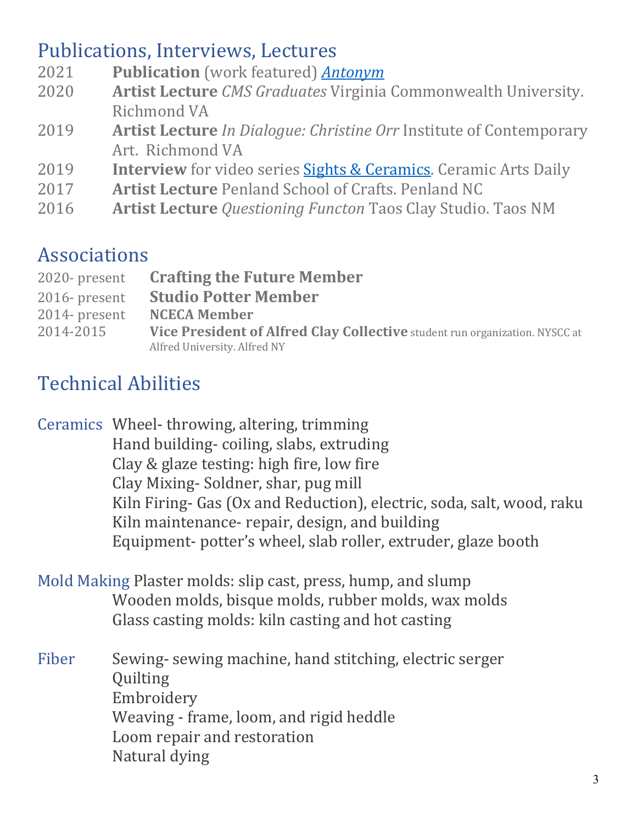#### Publications, Interviews, Lectures

- 2021 **Publication** (work featured) **Antonym**
- 2020 **Artist Lecture** *CMS Graduates* Virginia Commonwealth University. Richmond VA
- **2019 Artist Lecture** *In Dialogue: Christine Orr* Institute of Contemporary Art. Richmond VA
- 2019 **Interview** for video series **Sights & Ceramics**. Ceramic Arts Daily
- 2017 **Artist Lecture** Penland School of Crafts. Penland NC
- 2016 **Artist Lecture** *Questioning Functon* Taos Clay Studio. Taos NM

### Associations

| 2020-present     | <b>Crafting the Future Member</b>                                           |
|------------------|-----------------------------------------------------------------------------|
| $2016$ - present | <b>Studio Potter Member</b>                                                 |
| 2014- present    | <b>NCECA Member</b>                                                         |
| 2014-2015        | Vice President of Alfred Clay Collective student run organization. NYSCC at |
|                  | Alfred University. Alfred NY                                                |

# Technical Abilities

Ceramics Wheel-throwing, altering, trimming Hand building- coiling, slabs, extruding Clay & glaze testing: high fire, low fire Clay Mixing-Soldner, shar, pug mill Kiln Firing- Gas (Ox and Reduction), electric, soda, salt, wood, raku Kiln maintenance- repair, design, and building Equipment- potter's wheel, slab roller, extruder, glaze booth

- Mold Making Plaster molds: slip cast, press, hump, and slump Wooden molds, bisque molds, rubber molds, wax molds Glass casting molds: kiln casting and hot casting
- Fiber Sewing- sewing machine, hand stitching, electric serger Quilting Embroidery Weaving - frame, loom, and rigid heddle Loom repair and restoration Natural dying